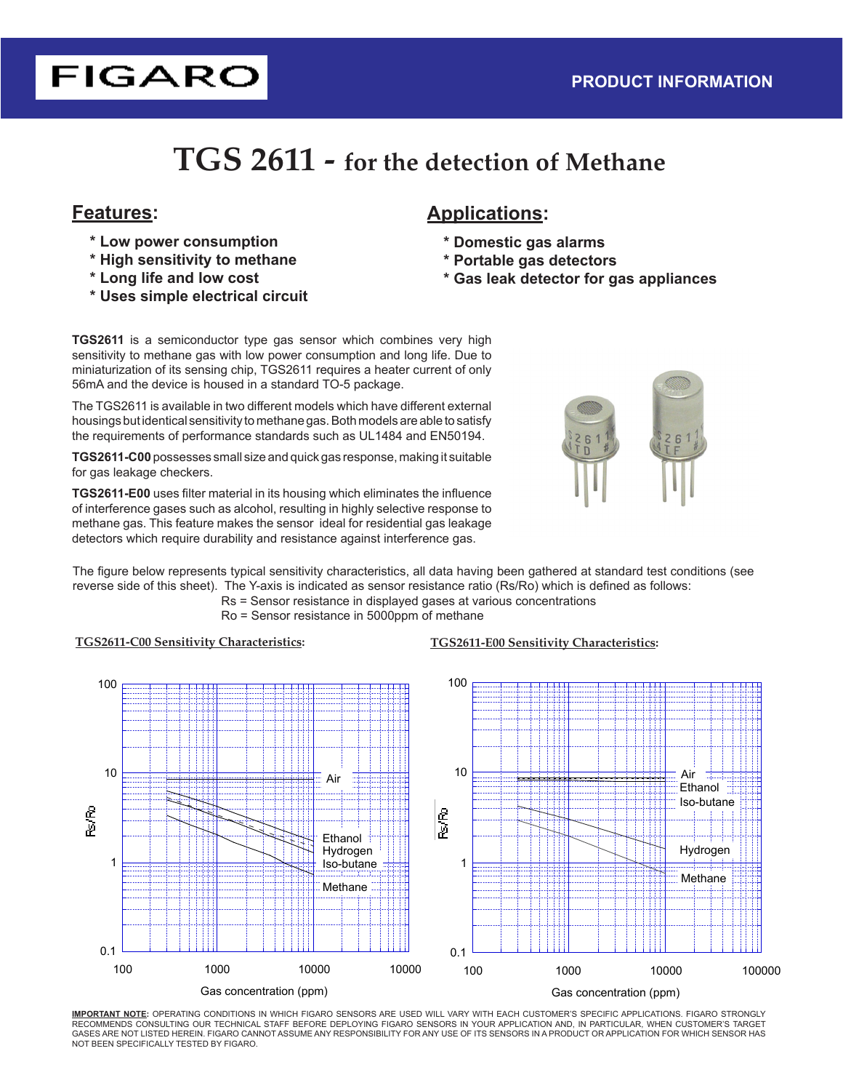# **FIGARO**

## **TGS 2611 - for the detection of Methane**

- **\* Low power consumption**
- **\* High sensitivity to methane**
- **\* Long life and low cost**
- **\* Uses simple electrical circuit**

## **Features: Applications:**

- **\* Domestic gas alarms**
- **\* Portable gas detectors**
- **\* Gas leak detector for gas appliances**

**TGS2611** is a semiconductor type gas sensor which combines very high sensitivity to methane gas with low power consumption and long life. Due to miniaturization of its sensing chip, TGS2611 requires a heater current of only 56mA and the device is housed in a standard TO-5 package.

The TGS2611 is available in two different models which have different external housings but identical sensitivity to methane gas. Both models are able to satisfy the requirements of performance standards such as UL1484 and EN50194.

**TGS2611-C00** possesses small size and quick gas response, making it suitable for gas leakage checkers.

**TGS2611-E00** uses filter material in its housing which eliminates the influence of interference gases such as alcohol, resulting in highly selective response to methane gas. This feature makes the sensor ideal for residential gas leakage detectors which require durability and resistance against interference gas.



The figure below represents typical sensitivity characteristics, all data having been gathered at standard test conditions (see reverse side of this sheet). The Y-axis is indicated as sensor resistance ratio (Rs/Ro) which is defined as follows:

Rs = Sensor resistance in displayed gases at various concentrations Ro = Sensor resistance in 5000ppm of methane

#### **TGS2611-C00 Sensitivity Characteristics: TGS2611-E00 Sensitivity Characteristics:**





**IMPORTANT NOTE:** OPERATING CONDITIONS IN WHICH FIGARO SENSORS ARE USED WILL VARY WITH EACH CUSTOMER'S SPECIFIC APPLICATIONS. FIGARO STRONGLY RECOMMENDS CONSULTING OUR TECHNICAL STAFF BEFORE DEPLOYING FIGARO SENSORS IN YOUR APPLICATION AND, IN PARTICULAR, WHEN CUSTOMER'S TARGET GASES ARE NOT LISTED HEREIN. FIGARO CANNOT ASSUME ANY RESPONSIBILITY FOR ANY USE OF ITS SENSORS IN A PRODUCT OR APPLICATION FOR WHICH SENSOR HAS NOT BEEN SPECIFICALLY TESTED BY FIGARO.